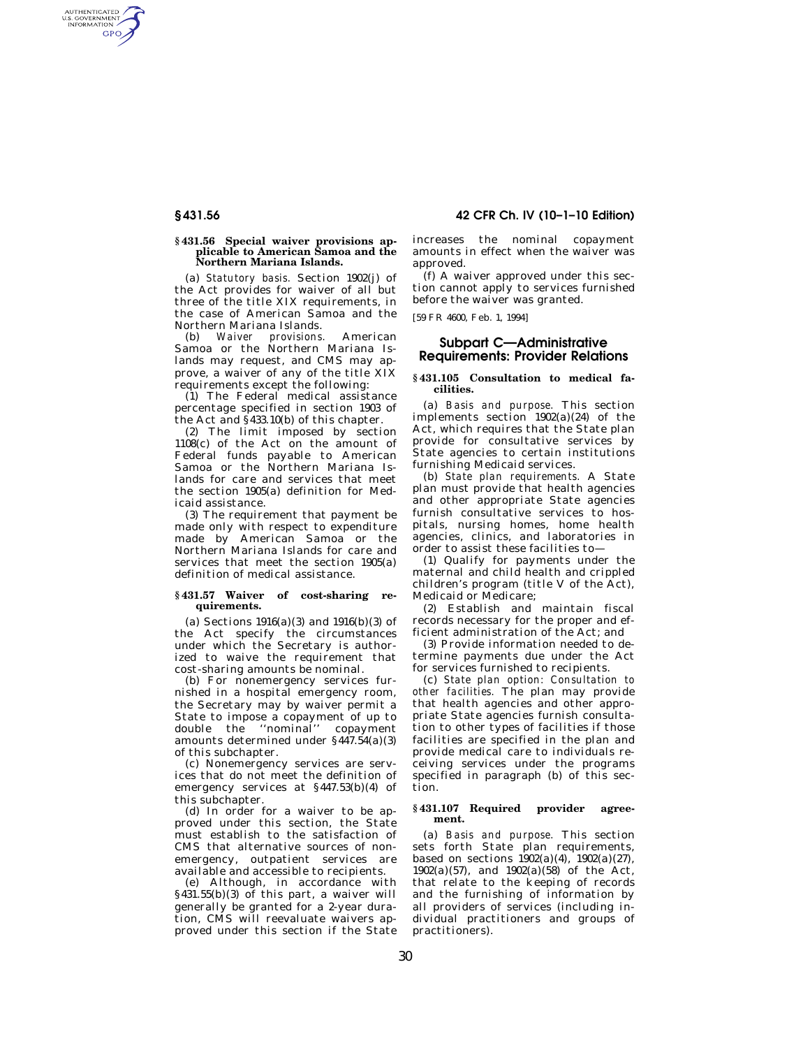AUTHENTICATED<br>U.S. GOVERNMENT<br>INFORMATION **GPO** 

### **§ 431.56 Special waiver provisions applicable to American Samoa and the Northern Mariana Islands.**

(a) *Statutory basis.* Section 1902(j) of the Act provides for waiver of all but three of the title XIX requirements, in the case of American Samoa and the Northern Mariana Islands.<br>(b) Waiver provisions

(b) *Waiver provisions.* American Samoa or the Northern Mariana Islands may request, and CMS may approve, a waiver of any of the title XIX requirements except the following:

(1) The Federal medical assistance percentage specified in section 1903 of the Act and  $\frac{2}{3}$ 433.10(b) of this chapter.

(2) The limit imposed by section 1108(c) of the Act on the amount of Federal funds payable to American Samoa or the Northern Mariana Islands for care and services that meet the section 1905(a) definition for Medicaid assistance.

(3) The requirement that payment be made only with respect to expenditure made by American Samoa or the Northern Mariana Islands for care and services that meet the section 1905(a) definition of medical assistance.

## **§ 431.57 Waiver of cost-sharing requirements.**

(a) Sections  $1916(a)(3)$  and  $1916(b)(3)$  of the Act specify the circumstances under which the Secretary is authorized to waive the requirement that cost-sharing amounts be nominal.

(b) For nonemergency services furnished in a hospital emergency room, the Secretary may by waiver permit a State to impose a copayment of up to double the ''nominal'' copayment amounts determined under §447.54(a)(3) of this subchapter.

(c) Nonemergency services are services that do not meet the definition of emergency services at §447.53(b)(4) of this subchapter.

(d) In order for a waiver to be approved under this section, the State must establish to the satisfaction of CMS that alternative sources of nonemergency, outpatient services are available and accessible to recipients.

(e) Although, in accordance with §431.55(b)(3) of this part, a waiver will generally be granted for a 2-year duration, CMS will reevaluate waivers approved under this section if the State

# **§ 431.56 42 CFR Ch. IV (10–1–10 Edition)**

increases the nominal copayment amounts in effect when the waiver was approved.

(f) A waiver approved under this section cannot apply to services furnished before the waiver was granted.

[59 FR 4600, Feb. 1, 1994]

# **Subpart C—Administrative Requirements: Provider Relations**

## **§ 431.105 Consultation to medical facilities.**

(a) *Basis and purpose.* This section implements section  $1902(a)(24)$  of the Act, which requires that the State plan provide for consultative services by State agencies to certain institutions furnishing Medicaid services.

(b) *State plan requirements.* A State plan must provide that health agencies and other appropriate State agencies furnish consultative services to hospitals, nursing homes, home health agencies, clinics, and laboratories in order to assist these facilities to—

(1) Qualify for payments under the maternal and child health and crippled children's program (title V of the Act), Medicaid or Medicare;

(2) Establish and maintain fiscal records necessary for the proper and efficient administration of the Act; and

(3) Provide information needed to determine payments due under the Act for services furnished to recipients.

(c) *State plan option: Consultation to other facilities.* The plan may provide that health agencies and other appropriate State agencies furnish consultation to other types of facilities if those facilities are specified in the plan and provide medical care to individuals receiving services under the programs specified in paragraph (b) of this section.

## **§ 431.107 Required provider agreement.**

(a) *Basis and purpose.* This section sets forth State plan requirements, based on sections  $1902(a)(4)$ ,  $1902(a)(27)$ , 1902(a)(57), and 1902(a)(58) of the Act, that relate to the keeping of records and the furnishing of information by all providers of services (including individual practitioners and groups of practitioners).